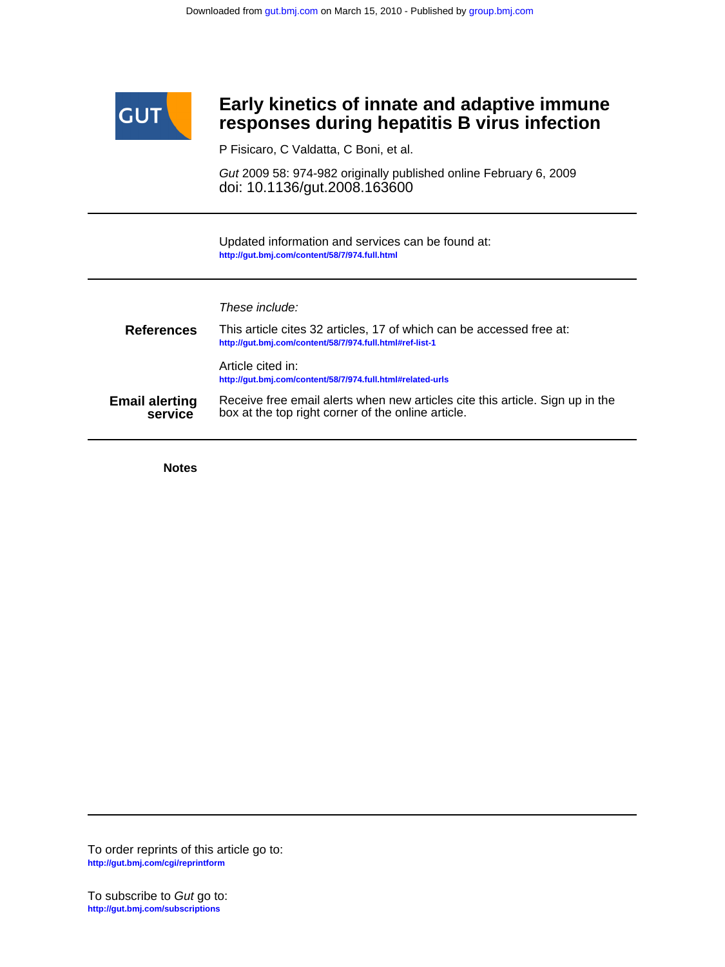

## **responses during hepatitis B virus infection Early kinetics of innate and adaptive immune**

P Fisicaro, C Valdatta, C Boni, et al.

doi: 10.1136/gut.2008.163600 Gut 2009 58: 974-982 originally published online February 6, 2009

**<http://gut.bmj.com/content/58/7/974.full.html>** Updated information and services can be found at:

These include:

| <b>References</b>                | This article cites 32 articles, 17 of which can be accessed free at:<br>http://gut.bmj.com/content/58/7/974.full.html#ref-list-1    |
|----------------------------------|-------------------------------------------------------------------------------------------------------------------------------------|
|                                  | Article cited in:<br>http://gut.bmj.com/content/58/7/974.full.html#related-urls                                                     |
| <b>Email alerting</b><br>service | Receive free email alerts when new articles cite this article. Sign up in the<br>box at the top right corner of the online article. |

**Notes**

**<http://gut.bmj.com/cgi/reprintform>** To order reprints of this article go to: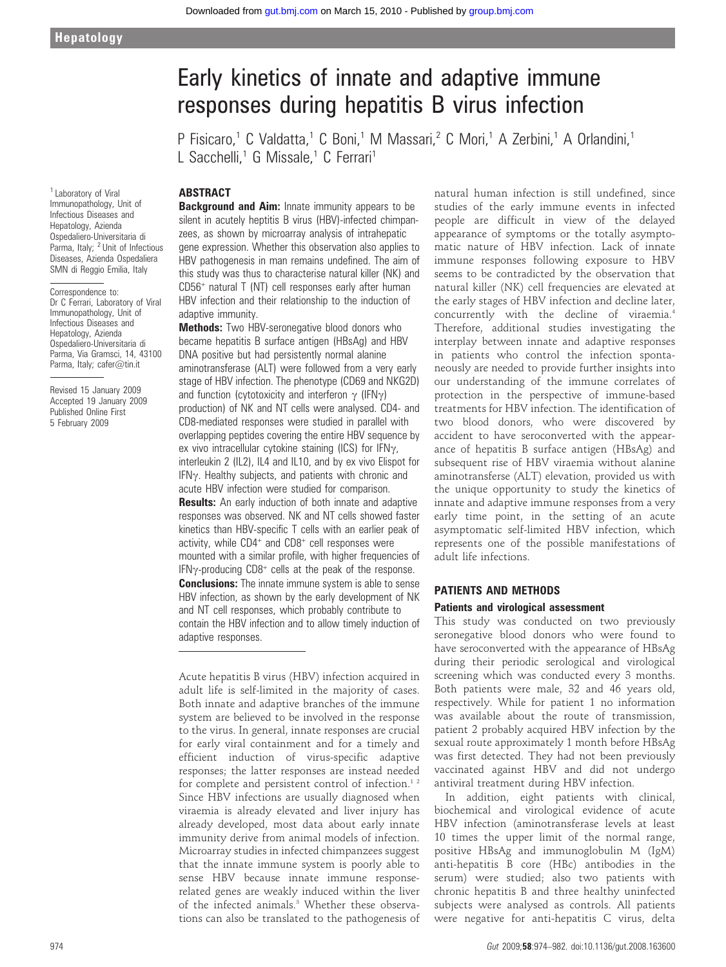# Early kinetics of innate and adaptive immune responses during hepatitis B virus infection

P Fisicaro,<sup>1</sup> C Valdatta,<sup>1</sup> C Boni,<sup>1</sup> M Massari,<sup>2</sup> C Mori,<sup>1</sup> A Zerbini,<sup>1</sup> A Orlandini,<sup>1</sup> L Sacchelli,<sup>1</sup> G Missale,<sup>1</sup> C Ferrari<sup>1</sup>

## ABSTRACT

<sup>1</sup> Laboratory of Viral Immunopathology, Unit of Infectious Diseases and Hepatology, Azienda Ospedaliero-Universitaria di Parma, Italy; <sup>2</sup> Unit of Infectious Diseases, Azienda Ospedaliera SMN di Reggio Emilia, Italy

#### Correspondence to:

Dr C Ferrari, Laboratory of Viral Immunopathology, Unit of Infectious Diseases and Hepatology, Azienda Ospedaliero-Universitaria di Parma, Via Gramsci, 14, 43100 Parma, Italy; cafer@tin.it

Revised 15 January 2009 Accepted 19 January 2009 Published Online First 5 February 2009

**Background and Aim:** Innate immunity appears to be silent in acutely heptitis B virus (HBV)-infected chimpanzees, as shown by microarray analysis of intrahepatic gene expression. Whether this observation also applies to HBV pathogenesis in man remains undefined. The aim of this study was thus to characterise natural killer (NK) and CD56<sup>+</sup> natural T (NT) cell responses early after human HBV infection and their relationship to the induction of adaptive immunity.

**Methods:** Two HBV-seronegative blood donors who became hepatitis B surface antigen (HBsAg) and HBV DNA positive but had persistently normal alanine aminotransferase (ALT) were followed from a very early stage of HBV infection. The phenotype (CD69 and NKG2D) and function (cytotoxicity and interferon  $\gamma$  (IFN $\gamma$ ) production) of NK and NT cells were analysed. CD4- and CD8-mediated responses were studied in parallel with overlapping peptides covering the entire HBV sequence by ex vivo intracellular cytokine staining (ICS) for IFN $\gamma$ , interleukin 2 (IL2), IL4 and IL10, and by ex vivo Elispot for  $IFN<sub>Y</sub>$ . Healthy subjects, and patients with chronic and acute HBV infection were studied for comparison. **Results:** An early induction of both innate and adaptive responses was observed. NK and NT cells showed faster kinetics than HBV-specific T cells with an earlier peak of activity, while CD4<sup>+</sup> and CD8<sup>+</sup> cell responses were mounted with a similar profile, with higher frequencies of IFN $\gamma$ -producing CD8<sup>+</sup> cells at the peak of the response. **Conclusions:** The innate immune system is able to sense HBV infection, as shown by the early development of NK and NT cell responses, which probably contribute to contain the HBV infection and to allow timely induction of adaptive responses.

Acute hepatitis B virus (HBV) infection acquired in adult life is self-limited in the majority of cases. Both innate and adaptive branches of the immune system are believed to be involved in the response to the virus. In general, innate responses are crucial for early viral containment and for a timely and efficient induction of virus-specific adaptive responses; the latter responses are instead needed for complete and persistent control of infection.<sup>12</sup> Since HBV infections are usually diagnosed when viraemia is already elevated and liver injury has already developed, most data about early innate immunity derive from animal models of infection. Microarray studies in infected chimpanzees suggest that the innate immune system is poorly able to sense HBV because innate immune responserelated genes are weakly induced within the liver of the infected animals.<sup>3</sup> Whether these observations can also be translated to the pathogenesis of

natural human infection is still undefined, since studies of the early immune events in infected people are difficult in view of the delayed appearance of symptoms or the totally asymptomatic nature of HBV infection. Lack of innate immune responses following exposure to HBV seems to be contradicted by the observation that natural killer (NK) cell frequencies are elevated at the early stages of HBV infection and decline later, concurrently with the decline of viraemia.4 Therefore, additional studies investigating the interplay between innate and adaptive responses in patients who control the infection spontaneously are needed to provide further insights into our understanding of the immune correlates of protection in the perspective of immune-based treatments for HBV infection. The identification of two blood donors, who were discovered by accident to have seroconverted with the appearance of hepatitis B surface antigen (HBsAg) and subsequent rise of HBV viraemia without alanine aminotransferse (ALT) elevation, provided us with the unique opportunity to study the kinetics of innate and adaptive immune responses from a very early time point, in the setting of an acute asymptomatic self-limited HBV infection, which represents one of the possible manifestations of adult life infections.

#### PATIENTS AND METHODS

#### Patients and virological assessment

This study was conducted on two previously seronegative blood donors who were found to have seroconverted with the appearance of HBsAg during their periodic serological and virological screening which was conducted every 3 months. Both patients were male, 32 and 46 years old, respectively. While for patient 1 no information was available about the route of transmission, patient 2 probably acquired HBV infection by the sexual route approximately 1 month before HBsAg was first detected. They had not been previously vaccinated against HBV and did not undergo antiviral treatment during HBV infection.

In addition, eight patients with clinical, biochemical and virological evidence of acute HBV infection (aminotransferase levels at least 10 times the upper limit of the normal range, positive HBsAg and immunoglobulin M (IgM) anti-hepatitis B core (HBc) antibodies in the serum) were studied; also two patients with chronic hepatitis B and three healthy uninfected subjects were analysed as controls. All patients were negative for anti-hepatitis C virus, delta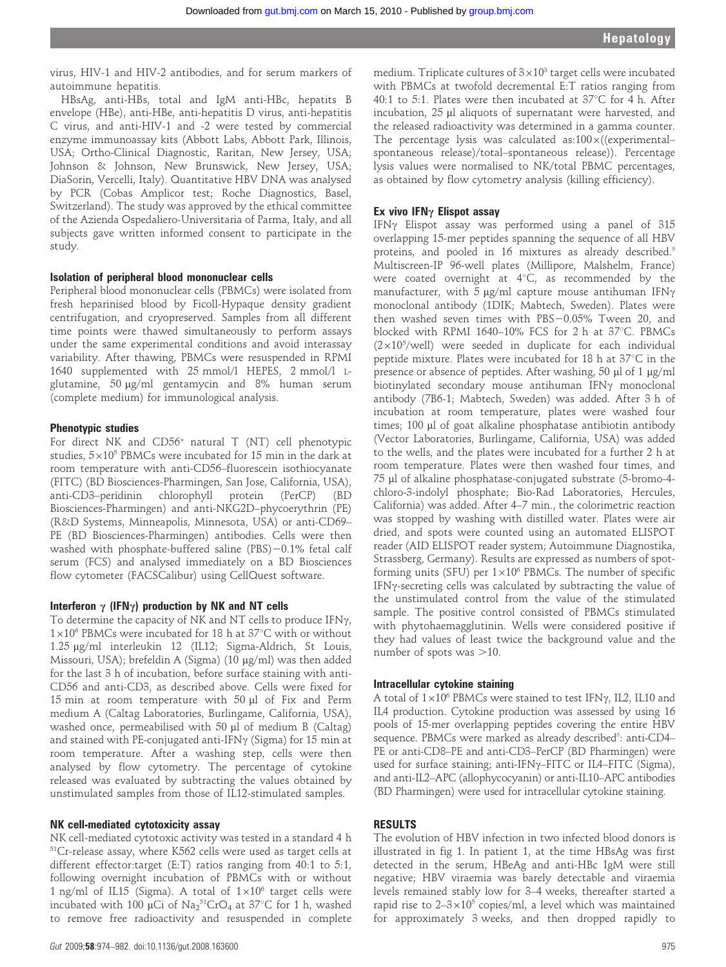virus, HIV-1 and HIV-2 antibodies, and for serum markers of autoimmune hepatitis.

HBsAg, anti-HBs, total and IgM anti-HBc, hepatits B envelope (HBe), anti-HBe, anti-hepatitis D virus, anti-hepatitis C virus, and anti-HIV-1 and -2 were tested by commercial enzyme immunoassay kits (Abbott Labs, Abbott Park, Illinois, USA; Ortho-Clinical Diagnostic, Raritan, New Jersey, USA; Johnson & Johnson, New Brunswick, New Jersey, USA; DiaSorin, Vercelli, Italy). Quantitative HBV DNA was analysed by PCR (Cobas Amplicor test; Roche Diagnostics, Basel, Switzerland). The study was approved by the ethical committee of the Azienda Ospedaliero-Universitaria of Parma, Italy, and all subjects gave written informed consent to participate in the study.

#### Isolation of peripheral blood mononuclear cells

Peripheral blood mononuclear cells (PBMCs) were isolated from fresh heparinised blood by Ficoll-Hypaque density gradient centrifugation, and cryopreserved. Samples from all different time points were thawed simultaneously to perform assays under the same experimental conditions and avoid interassay variability. After thawing, PBMCs were resuspended in RPMI 1640 supplemented with 25 mmol/l HEPES, 2 mmol/l Lglutamine, 50 µg/ml gentamycin and 8% human serum (complete medium) for immunological analysis.

#### Phenotypic studies

For direct NK and CD56<sup>+</sup> natural T (NT) cell phenotypic studies,  $5\times10^5$  PBMCs were incubated for 15 min in the dark at room temperature with anti-CD56–fluorescein isothiocyanate (FITC) (BD Biosciences-Pharmingen, San Jose, California, USA), anti-CD3–peridinin chlorophyll protein (PerCP) (BD Biosciences-Pharmingen) and anti-NKG2D–phycoerythrin (PE) (R&D Systems, Minneapolis, Minnesota, USA) or anti-CD69– PE (BD Biosciences-Pharmingen) antibodies. Cells were then washed with phosphate-buffered saline (PBS) $-0.1\%$  fetal calf serum (FCS) and analysed immediately on a BD Biosciences flow cytometer (FACSCalibur) using CellQuest software.

#### Interferon  $\gamma$  (IFN $\gamma$ ) production by NK and NT cells

To determine the capacity of NK and NT cells to produce IFN $\gamma$ ,  $1\times10^6$  PBMCs were incubated for 18 h at 37°C with or without 1.25 μg/ml interleukin 12 (IL12; Sigma-Aldrich, St Louis, Missouri, USA); brefeldin A (Sigma) (10  $\mu$ g/ml) was then added for the last 3 h of incubation, before surface staining with anti-CD56 and anti-CD3, as described above. Cells were fixed for 15 min at room temperature with 50 µl of Fix and Perm medium A (Caltag Laboratories, Burlingame, California, USA), washed once, permeabilised with 50  $\mu$ l of medium B (Caltag) and stained with PE-conjugated anti-IFN $\gamma$  (Sigma) for 15 min at room temperature. After a washing step, cells were then analysed by flow cytometry. The percentage of cytokine released was evaluated by subtracting the values obtained by unstimulated samples from those of IL12-stimulated samples.

#### NK cell-mediated cytotoxicity assay

NK cell-mediated cytotoxic activity was tested in a standard 4 h 51Cr-release assay, where K562 cells were used as target cells at different effector:target (E:T) ratios ranging from 40:1 to 5:1, following overnight incubation of PBMCs with or without 1 ng/ml of IL15 (Sigma). A total of  $1\times10^6$  target cells were incubated with 100  $\mu$ Ci of Na $_2$ <sup>51</sup>CrO<sub>4</sub> at 37°C for 1 h, washed to remove free radioactivity and resuspended in complete

medium. Triplicate cultures of  $3\times10^3$  target cells were incubated with PBMCs at twofold decremental E:T ratios ranging from 40:1 to 5:1. Plates were then incubated at  $37^{\circ}$ C for 4 h. After incubation, 25 µl aliquots of supernatant were harvested, and the released radioactivity was determined in a gamma counter. The percentage lysis was calculated as: $100\times$ ((experimental– spontaneous release)/total–spontaneous release)). Percentage lysis values were normalised to NK/total PBMC percentages, as obtained by flow cytometry analysis (killing efficiency).

#### Ex vivo IFN $\gamma$  Elispot assay

IFN $\gamma$  Elispot assay was performed using a panel of 315 overlapping 15-mer peptides spanning the sequence of all HBV proteins, and pooled in 16 mixtures as already described.<sup>5</sup> Multiscreen-IP 96-well plates (Millipore, Malshelm, France) were coated overnight at  $4^{\circ}C$ , as recommended by the manufacturer, with 5  $\mu$ g/ml capture mouse antihuman IFN $\gamma$ monoclonal antibody (1DIK; Mabtech, Sweden). Plates were then washed seven times with  $\text{PBS}-0.05\%$  Tween 20, and blocked with RPMI 1640–10% FCS for 2 h at  $37^{\circ}$ C. PBMCs  $(2\times10^5/\text{well})$  were seeded in duplicate for each individual peptide mixture. Plates were incubated for 18 h at  $37^{\circ}$ C in the presence or absence of peptides. After washing, 50 µl of 1 µg/ml biotinylated secondary mouse antihuman IFN $\gamma$  monoclonal antibody (7B6-1; Mabtech, Sweden) was added. After 3 h of incubation at room temperature, plates were washed four times; 100 µl of goat alkaline phosphatase antibiotin antibody (Vector Laboratories, Burlingame, California, USA) was added to the wells, and the plates were incubated for a further 2 h at room temperature. Plates were then washed four times, and 75 ml of alkaline phosphatase-conjugated substrate (5-bromo-4 chloro-3-indolyl phosphate; Bio-Rad Laboratories, Hercules, California) was added. After 4–7 min., the colorimetric reaction was stopped by washing with distilled water. Plates were air dried, and spots were counted using an automated ELISPOT reader (AID ELISPOT reader system; Autoimmune Diagnostika, Strassberg, Germany). Results are expressed as numbers of spotforming units (SFU) per  $1\times10^6$  PBMCs. The number of specific IFN $\gamma$ -secreting cells was calculated by subtracting the value of the unstimulated control from the value of the stimulated sample. The positive control consisted of PBMCs stimulated with phytohaemagglutinin. Wells were considered positive if they had values of least twice the background value and the number of spots was  $>10$ .

#### Intracellular cytokine staining

A total of  $1\times10^6$  PBMCs were stained to test IFN $\gamma$ , IL2, IL10 and IL4 production. Cytokine production was assessed by using 16 pools of 15-mer overlapping peptides covering the entire HBV sequence. PBMCs were marked as already described<sup>5</sup>: anti-CD4-PE or anti-CD8–PE and anti-CD3–PerCP (BD Pharmingen) were used for surface staining; anti-IFN $\gamma$ –FITC or IL4–FITC (Sigma), and anti-IL2–APC (allophycocyanin) or anti-IL10–APC antibodies (BD Pharmingen) were used for intracellular cytokine staining.

#### RESULTS

The evolution of HBV infection in two infected blood donors is illustrated in fig 1. In patient 1, at the time HBsAg was first detected in the serum, HBeAg and anti-HBc IgM were still negative; HBV viraemia was barely detectable and viraemia levels remained stably low for 3–4 weeks, thereafter started a rapid rise to  $2-3\times10^5$  copies/ml, a level which was maintained for approximately 3 weeks, and then dropped rapidly to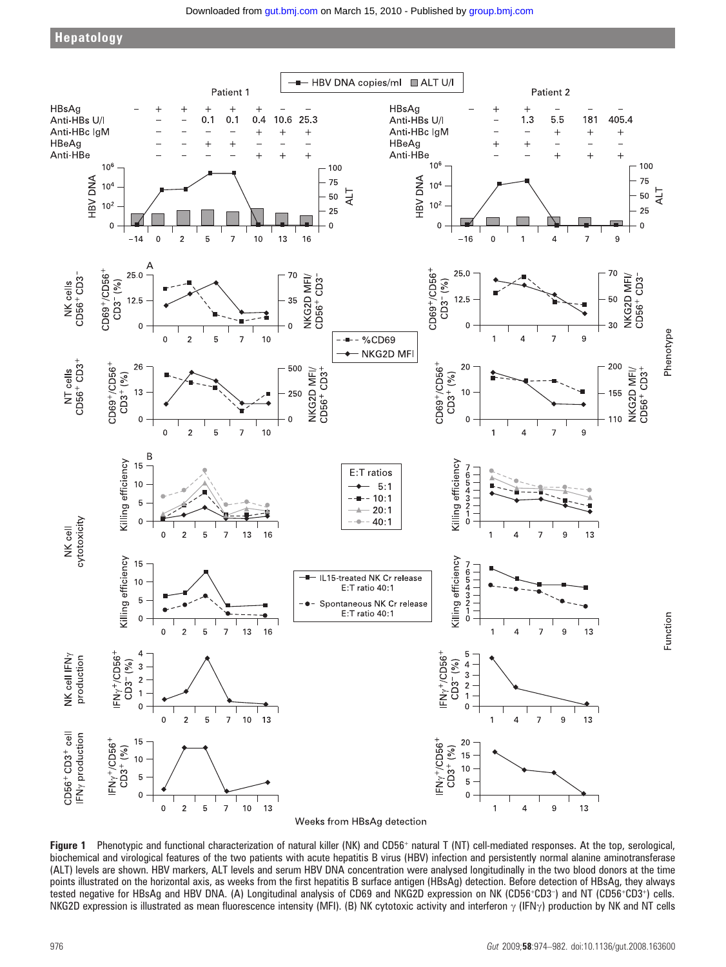

Figure 1 Phenotypic and functional characterization of natural killer (NK) and CD56<sup>+</sup> natural T (NT) cell-mediated responses. At the top, serological, biochemical and virological features of the two patients with acute hepatitis B virus (HBV) infection and persistently normal alanine aminotransferase (ALT) levels are shown. HBV markers, ALT levels and serum HBV DNA concentration were analysed longitudinally in the two blood donors at the time points illustrated on the horizontal axis, as weeks from the first hepatitis B surface antigen (HBsAg) detection. Before detection of HBsAg, they always tested negative for HBsAg and HBV DNA. (A) Longitudinal analysis of CD69 and NKG2D expression on NK (CD56+CD3+) and NT (CD56+CD3+) cells. NKG2D expression is illustrated as mean fluorescence intensity (MFI). (B) NK cytotoxic activity and interferon  $\gamma$  (IFN $\gamma$ ) production by NK and NT cells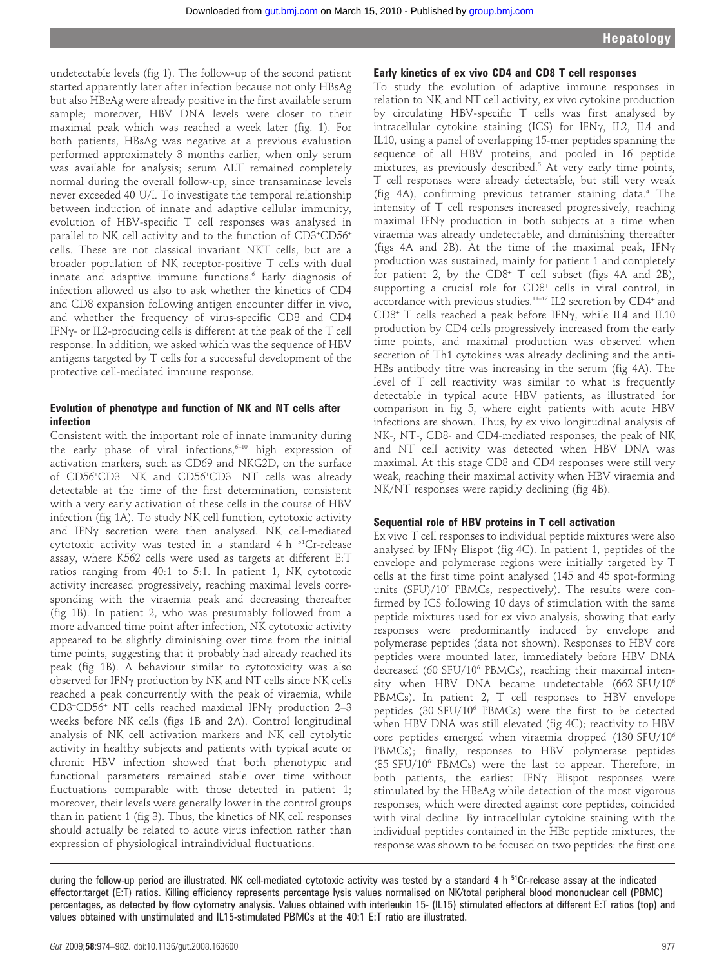undetectable levels (fig 1). The follow-up of the second patient started apparently later after infection because not only HBsAg but also HBeAg were already positive in the first available serum sample; moreover, HBV DNA levels were closer to their maximal peak which was reached a week later (fig. 1). For both patients, HBsAg was negative at a previous evaluation performed approximately 3 months earlier, when only serum was available for analysis; serum ALT remained completely normal during the overall follow-up, since transaminase levels never exceeded 40 U/l. To investigate the temporal relationship between induction of innate and adaptive cellular immunity, evolution of HBV-specific T cell responses was analysed in parallel to NK cell activity and to the function of CD3+CD56+ cells. These are not classical invariant NKT cells, but are a broader population of NK receptor-positive T cells with dual innate and adaptive immune functions.<sup>6</sup> Early diagnosis of infection allowed us also to ask whether the kinetics of CD4 and CD8 expansion following antigen encounter differ in vivo, and whether the frequency of virus-specific CD8 and CD4 IFN $\gamma$ - or IL2-producing cells is different at the peak of the T cell response. In addition, we asked which was the sequence of HBV antigens targeted by T cells for a successful development of the protective cell-mediated immune response.

#### Evolution of phenotype and function of NK and NT cells after infection

Consistent with the important role of innate immunity during the early phase of viral infections, $6-10$  high expression of activation markers, such as CD69 and NKG2D, on the surface of CD56<sup>+</sup>CD3<sup>-</sup> NK and CD56<sup>+</sup>CD3<sup>+</sup> NT cells was already detectable at the time of the first determination, consistent with a very early activation of these cells in the course of HBV infection (fig 1A). To study NK cell function, cytotoxic activity and IFN $\gamma$  secretion were then analysed. NK cell-mediated cytotoxic activity was tested in a standard  $4 h^{51}Cr$ -release assay, where K562 cells were used as targets at different E:T ratios ranging from 40:1 to 5:1. In patient 1, NK cytotoxic activity increased progressively, reaching maximal levels corresponding with the viraemia peak and decreasing thereafter (fig 1B). In patient 2, who was presumably followed from a more advanced time point after infection, NK cytotoxic activity appeared to be slightly diminishing over time from the initial time points, suggesting that it probably had already reached its peak (fig 1B). A behaviour similar to cytotoxicity was also observed for IFN $\gamma$  production by NK and NT cells since NK cells reached a peak concurrently with the peak of viraemia, while CD3+CD56+ NT cells reached maximal IFNy production 2-3 weeks before NK cells (figs 1B and 2A). Control longitudinal analysis of NK cell activation markers and NK cell cytolytic activity in healthy subjects and patients with typical acute or chronic HBV infection showed that both phenotypic and functional parameters remained stable over time without fluctuations comparable with those detected in patient 1; moreover, their levels were generally lower in the control groups than in patient 1 (fig 3). Thus, the kinetics of NK cell responses should actually be related to acute virus infection rather than expression of physiological intraindividual fluctuations.

#### Early kinetics of ex vivo CD4 and CD8 T cell responses

To study the evolution of adaptive immune responses in relation to NK and NT cell activity, ex vivo cytokine production by circulating HBV-specific T cells was first analysed by intracellular cytokine staining (ICS) for IFN $\gamma$ , IL2, IL4 and IL10, using a panel of overlapping 15-mer peptides spanning the sequence of all HBV proteins, and pooled in 16 peptide mixtures, as previously described.<sup>5</sup> At very early time points, T cell responses were already detectable, but still very weak (fig 4A), confirming previous tetramer staining data.4 The intensity of T cell responses increased progressively, reaching maximal IFN $\gamma$  production in both subjects at a time when viraemia was already undetectable, and diminishing thereafter (figs 4A and 2B). At the time of the maximal peak,  $IFN\gamma$ production was sustained, mainly for patient 1 and completely for patient 2, by the  $CD8^+$  T cell subset (figs 4A and 2B), supporting a crucial role for CD8<sup>+</sup> cells in viral control, in accordance with previous studies.11–17 IL2 secretion by CD4<sup>+</sup> and  $CD8<sup>+</sup>$  T cells reached a peak before IFN $\gamma$ , while IL4 and IL10 production by CD4 cells progressively increased from the early time points, and maximal production was observed when secretion of Th1 cytokines was already declining and the anti-HBs antibody titre was increasing in the serum (fig 4A). The level of T cell reactivity was similar to what is frequently detectable in typical acute HBV patients, as illustrated for comparison in fig 5, where eight patients with acute HBV infections are shown. Thus, by ex vivo longitudinal analysis of NK-, NT-, CD8- and CD4-mediated responses, the peak of NK and NT cell activity was detected when HBV DNA was maximal. At this stage CD8 and CD4 responses were still very weak, reaching their maximal activity when HBV viraemia and NK/NT responses were rapidly declining (fig 4B).

#### Sequential role of HBV proteins in T cell activation

Ex vivo T cell responses to individual peptide mixtures were also analysed by IFN $\gamma$  Elispot (fig 4C). In patient 1, peptides of the envelope and polymerase regions were initially targeted by T cells at the first time point analysed (145 and 45 spot-forming units (SFU)/10<sup>6</sup> PBMCs, respectively). The results were confirmed by ICS following 10 days of stimulation with the same peptide mixtures used for ex vivo analysis, showing that early responses were predominantly induced by envelope and polymerase peptides (data not shown). Responses to HBV core peptides were mounted later, immediately before HBV DNA decreased (60 SFU/10<sup>6</sup> PBMCs), reaching their maximal intensity when HBV DNA became undetectable (662 SFU/10<sup>6</sup> PBMCs). In patient 2, T cell responses to HBV envelope peptides (30 SFU/10<sup>6</sup> PBMCs) were the first to be detected when HBV DNA was still elevated (fig 4C); reactivity to HBV core peptides emerged when viraemia dropped (130 SFU/106 PBMCs); finally, responses to HBV polymerase peptides (85 SFU/106 PBMCs) were the last to appear. Therefore, in both patients, the earliest IFN $\gamma$  Elispot responses were stimulated by the HBeAg while detection of the most vigorous responses, which were directed against core peptides, coincided with viral decline. By intracellular cytokine staining with the individual peptides contained in the HBc peptide mixtures, the response was shown to be focused on two peptides: the first one

during the follow-up period are illustrated. NK cell-mediated cytotoxic activity was tested by a standard 4 h <sup>51</sup>Cr-release assay at the indicated effector:target (E:T) ratios. Killing efficiency represents percentage lysis values normalised on NK/total peripheral blood mononuclear cell (PBMC) percentages, as detected by flow cytometry analysis. Values obtained with interleukin 15- (IL15) stimulated effectors at different E:T ratios (top) and values obtained with unstimulated and IL15-stimulated PBMCs at the 40:1 E:T ratio are illustrated.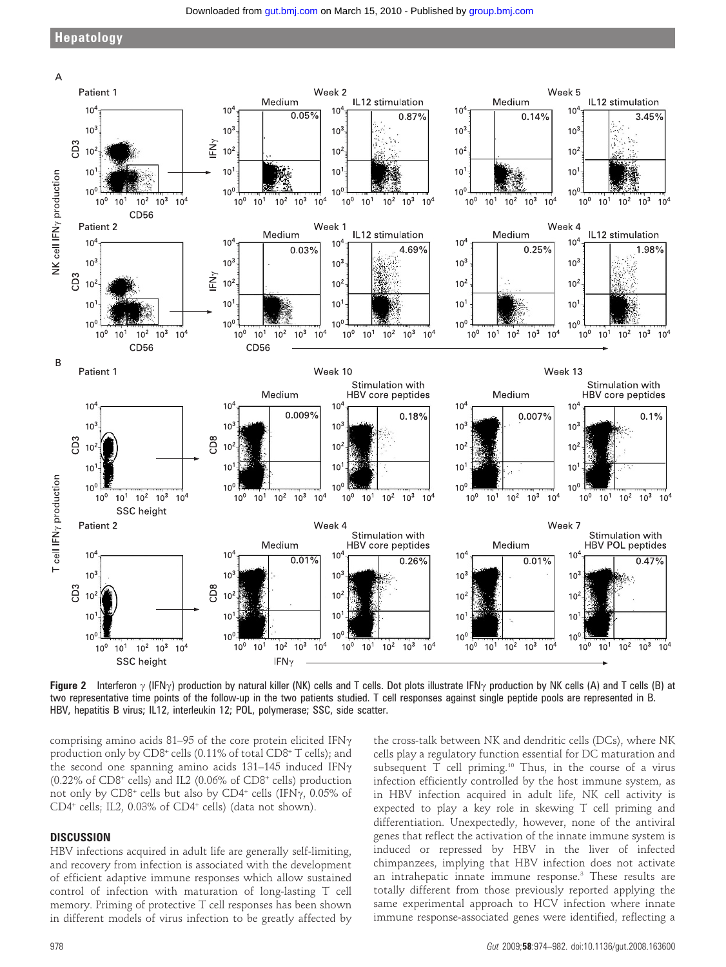

Figure 2 Interferon  $\gamma$  (IFN $\gamma$ ) production by natural killer (NK) cells and T cells. Dot plots illustrate IFN $\gamma$  production by NK cells (A) and T cells (B) at two representative time points of the follow-up in the two patients studied. T cell responses against single peptide pools are represented in B. HBV, hepatitis B virus; IL12, interleukin 12; POL, polymerase; SSC, side scatter.

comprising amino acids 81–95 of the core protein elicited IFN $\gamma$ production only by CD8<sup>+</sup> cells (0.11% of total CD8<sup>+</sup> T cells); and the second one spanning amino acids  $131-145$  induced IFN $\gamma$  $(0.22\%$  of CD8<sup>+</sup> cells) and IL2  $(0.06\%$  of CD8<sup>+</sup> cells) production not only by  $C\text{D}8^+$  cells but also by  $C\text{D}4^+$  cells (IFN $\gamma$ , 0.05% of CD4<sup>+</sup> cells; IL2, 0.03% of CD4<sup>+</sup> cells) (data not shown).

#### **DISCUSSION**

HBV infections acquired in adult life are generally self-limiting, and recovery from infection is associated with the development of efficient adaptive immune responses which allow sustained control of infection with maturation of long-lasting T cell memory. Priming of protective T cell responses has been shown in different models of virus infection to be greatly affected by

the cross-talk between NK and dendritic cells (DCs), where NK cells play a regulatory function essential for DC maturation and subsequent T cell priming.<sup>10</sup> Thus, in the course of a virus infection efficiently controlled by the host immune system, as in HBV infection acquired in adult life, NK cell activity is expected to play a key role in skewing T cell priming and differentiation. Unexpectedly, however, none of the antiviral genes that reflect the activation of the innate immune system is induced or repressed by HBV in the liver of infected chimpanzees, implying that HBV infection does not activate an intrahepatic innate immune response.3 These results are totally different from those previously reported applying the same experimental approach to HCV infection where innate immune response-associated genes were identified, reflecting a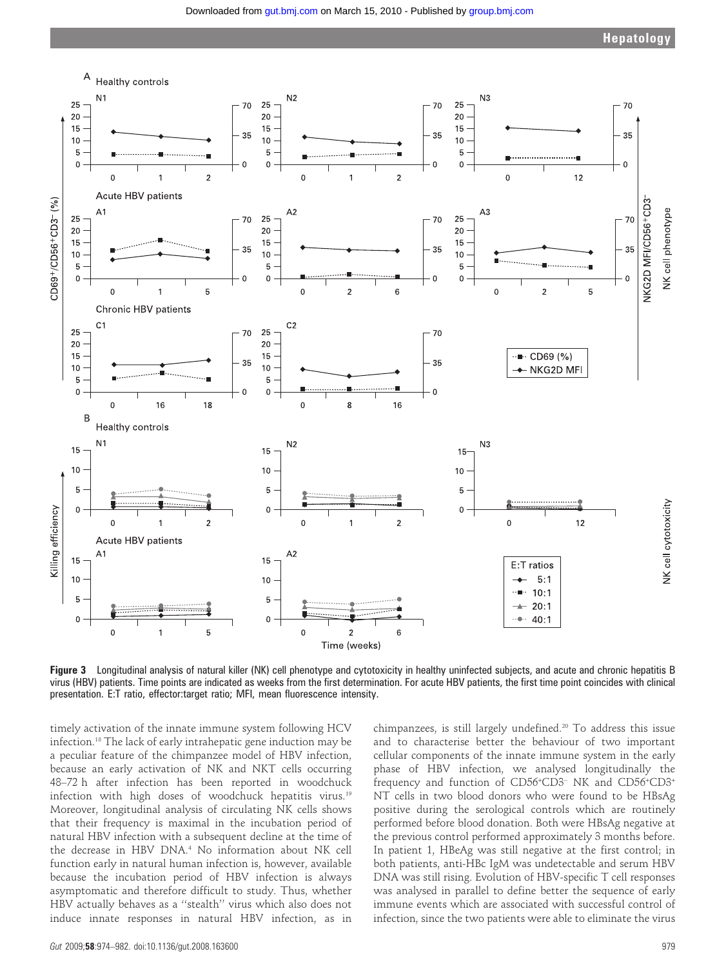

Figure 3 Longitudinal analysis of natural killer (NK) cell phenotype and cytotoxicity in healthy uninfected subjects, and acute and chronic hepatitis B virus (HBV) patients. Time points are indicated as weeks from the first determination. For acute HBV patients, the first time point coincides with clinical presentation. E:T ratio, effector:target ratio; MFI, mean fluorescence intensity.

timely activation of the innate immune system following HCV infection.18 The lack of early intrahepatic gene induction may be a peculiar feature of the chimpanzee model of HBV infection, because an early activation of NK and NKT cells occurring 48–72 h after infection has been reported in woodchuck infection with high doses of woodchuck hepatitis virus.<sup>19</sup> Moreover, longitudinal analysis of circulating NK cells shows that their frequency is maximal in the incubation period of natural HBV infection with a subsequent decline at the time of the decrease in HBV DNA.<sup>4</sup> No information about NK cell function early in natural human infection is, however, available because the incubation period of HBV infection is always asymptomatic and therefore difficult to study. Thus, whether HBV actually behaves as a ''stealth'' virus which also does not induce innate responses in natural HBV infection, as in

chimpanzees, is still largely undefined.20 To address this issue and to characterise better the behaviour of two important cellular components of the innate immune system in the early phase of HBV infection, we analysed longitudinally the frequency and function of CD56<sup>+</sup>CD3<sup>-</sup> NK and CD56<sup>+</sup>CD3<sup>+</sup> NT cells in two blood donors who were found to be HBsAg positive during the serological controls which are routinely performed before blood donation. Both were HBsAg negative at the previous control performed approximately 3 months before. In patient 1, HBeAg was still negative at the first control; in both patients, anti-HBc IgM was undetectable and serum HBV DNA was still rising. Evolution of HBV-specific T cell responses was analysed in parallel to define better the sequence of early immune events which are associated with successful control of infection, since the two patients were able to eliminate the virus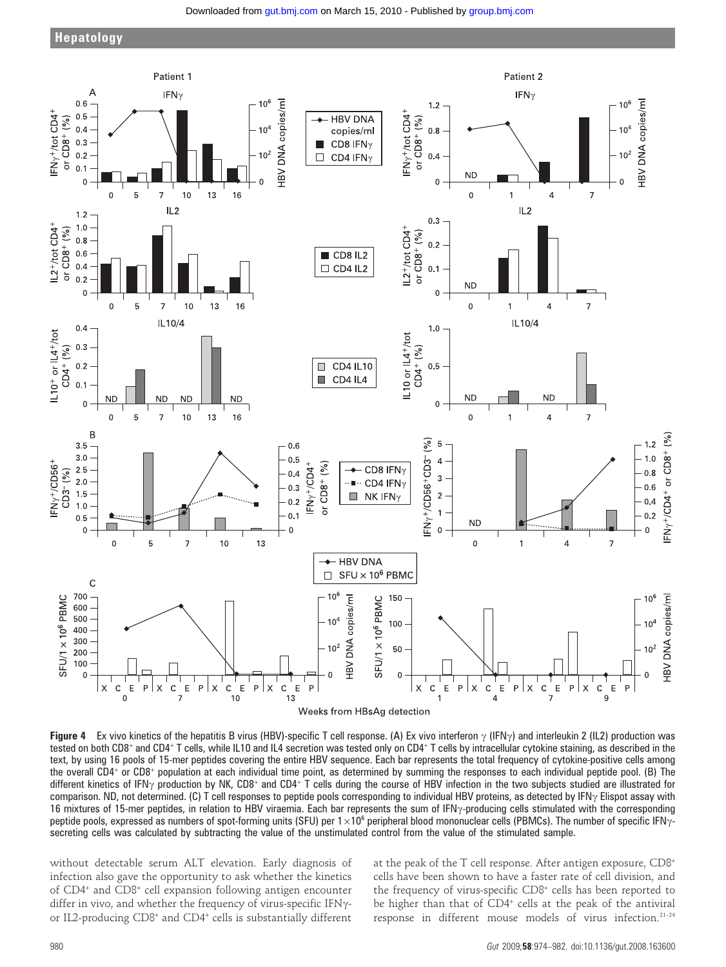Downloaded from [gut.bmj.com](http://gut.bmj.com/) on March 15, 2010 - Published by [group.bmj.com](http://group.bmj.com/)



Figure 4 Ex vivo kinetics of the hepatitis B virus (HBV)-specific T cell response. (A) Ex vivo interferon  $\gamma$  (IFN $\gamma$ ) and interleukin 2 (IL2) production was tested on both CD8<sup>+</sup> and CD4<sup>+</sup> T cells, while IL10 and IL4 secretion was tested only on CD4<sup>+</sup> T cells by intracellular cytokine staining, as described in the text, by using 16 pools of 15-mer peptides covering the entire HBV sequence. Each bar represents the total frequency of cytokine-positive cells among the overall CD4<sup>+</sup> or CD8<sup>+</sup> population at each individual time point, as determined by summing the responses to each individual peptide pool. (B) The different kinetics of IFN<sub>Y</sub> production by NK, CD8<sup>+</sup> and CD4<sup>+</sup> T cells during the course of HBV infection in the two subjects studied are illustrated for comparison. ND, not determined. (C) T cell responses to peptide pools corresponding to individual HBV proteins, as detected by IFN $\gamma$  Elispot assay with 16 mixtures of 15-mer peptides, in relation to HBV viraemia. Each bar represents the sum of IFN $\gamma$ -producing cells stimulated with the corresponding peptide pools, expressed as numbers of spot-forming units (SFU) per  $1\times10^6$  peripheral blood mononuclear cells (PBMCs). The number of specific IFN $\gamma$ secreting cells was calculated by subtracting the value of the unstimulated control from the value of the stimulated sample.

without detectable serum ALT elevation. Early diagnosis of infection also gave the opportunity to ask whether the kinetics of CD4<sup>+</sup> and CD8<sup>+</sup> cell expansion following antigen encounter differ in vivo, and whether the frequency of virus-specific IFN $\gamma$ or IL2-producing CD8<sup>+</sup> and CD4<sup>+</sup> cells is substantially different

at the peak of the T cell response. After antigen exposure, CD8<sup>+</sup> cells have been shown to have a faster rate of cell division, and the frequency of virus-specific CD8<sup>+</sup> cells has been reported to be higher than that of CD4<sup>+</sup> cells at the peak of the antiviral response in different mouse models of virus infection.21–24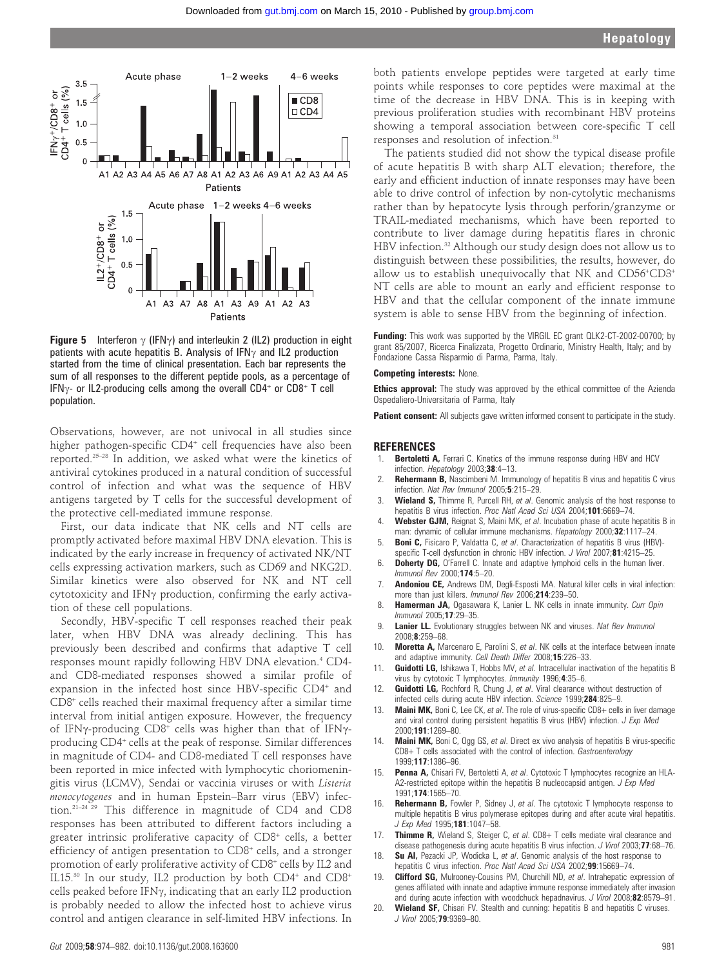

**Figure 5** Interferon  $\gamma$  (IFN $\gamma$ ) and interleukin 2 (IL2) production in eight patients with acute hepatitis B. Analysis of IFN $\gamma$  and IL2 production started from the time of clinical presentation. Each bar represents the sum of all responses to the different peptide pools, as a percentage of IFN $\gamma$ - or IL2-producing cells among the overall CD4<sup>+</sup> or CD8<sup>+</sup> T cell population.

Observations, however, are not univocal in all studies since higher pathogen-specific CD4<sup>+</sup> cell frequencies have also been reported.25–28 In addition, we asked what were the kinetics of antiviral cytokines produced in a natural condition of successful control of infection and what was the sequence of HBV antigens targeted by T cells for the successful development of the protective cell-mediated immune response.

First, our data indicate that NK cells and NT cells are promptly activated before maximal HBV DNA elevation. This is indicated by the early increase in frequency of activated NK/NT cells expressing activation markers, such as CD69 and NKG2D. Similar kinetics were also observed for NK and NT cell cytotoxicity and IFN $\gamma$  production, confirming the early activation of these cell populations.

Secondly, HBV-specific T cell responses reached their peak later, when HBV DNA was already declining. This has previously been described and confirms that adaptive T cell responses mount rapidly following HBV DNA elevation.<sup>4</sup> CD4and CD8-mediated responses showed a similar profile of expansion in the infected host since HBV-specific CD4<sup>+</sup> and CD8<sup>+</sup> cells reached their maximal frequency after a similar time interval from initial antigen exposure. However, the frequency of IFN $\gamma$ -producing CD8<sup>+</sup> cells was higher than that of IFN $\gamma$ producing CD4<sup>+</sup> cells at the peak of response. Similar differences in magnitude of CD4- and CD8-mediated T cell responses have been reported in mice infected with lymphocytic choriomeningitis virus (LCMV), Sendai or vaccinia viruses or with Listeria monocytogenes and in human Epstein–Barr virus (EBV) infection.21–24 29 This difference in magnitude of CD4 and CD8 responses has been attributed to different factors including a greater intrinsic proliferative capacity of CD8<sup>+</sup> cells, a better efficiency of antigen presentation to CD8<sup>+</sup> cells, and a stronger promotion of early proliferative activity of CD8<sup>+</sup> cells by IL2 and IL15.<sup>30</sup> In our study, IL2 production by both CD4<sup>+</sup> and CD8<sup>+</sup> cells peaked before IFN $\gamma$ , indicating that an early IL2 production is probably needed to allow the infected host to achieve virus control and antigen clearance in self-limited HBV infections. In

both patients envelope peptides were targeted at early time points while responses to core peptides were maximal at the time of the decrease in HBV DNA. This is in keeping with previous proliferation studies with recombinant HBV proteins showing a temporal association between core-specific T cell responses and resolution of infection.31

The patients studied did not show the typical disease profile of acute hepatitis B with sharp ALT elevation; therefore, the early and efficient induction of innate responses may have been able to drive control of infection by non-cytolytic mechanisms rather than by hepatocyte lysis through perforin/granzyme or TRAIL-mediated mechanisms, which have been reported to contribute to liver damage during hepatitis flares in chronic HBV infection.<sup>32</sup> Although our study design does not allow us to distinguish between these possibilities, the results, however, do allow us to establish unequivocally that NK and CD56+CD3+ NT cells are able to mount an early and efficient response to HBV and that the cellular component of the innate immune system is able to sense HBV from the beginning of infection.

Funding: This work was supported by the VIRGIL EC grant QLK2-CT-2002-00700; by grant 85/2007, Ricerca Finalizzata, Progetto Ordinario, Ministry Health, Italy; and by Fondazione Cassa Risparmio di Parma, Parma, Italy.

#### Competing interests: None.

**Ethics approval:** The study was approved by the ethical committee of the Azienda Ospedaliero-Universitaria of Parma, Italy

Patient consent: All subjects gave written informed consent to participate in the study.

#### REFERENCES

- Bertoletti A, Ferrari C. Kinetics of the immune response during HBV and HCV infection. Hepatology 2003;38:4-13.
- Rehermann B, Nascimbeni M. Immunology of hepatitis B virus and hepatitis C virus infection. Nat Rev Immunol 2005;5:215–29.
- 3. Wieland S, Thimme R, Purcell RH, et al. Genomic analysis of the host response to hepatitis B virus infection. Proc Natl Acad Sci USA 2004;101:6669-74.
- Webster GJM, Reignat S, Maini MK, et al. Incubation phase of acute hepatitis B in man: dynamic of cellular immune mechanisms. Hepatology 2000;32:1117-24.
- 5. **Boni C,** Fisicaro P, Valdatta C, et al. Characterization of hepatitis B virus (HBV)specific T-cell dysfunction in chronic HBV infection. J Virol 2007;81:4215-25.
- 6. Doherty DG, O'Farrell C. Innate and adaptive lymphoid cells in the human liver. Immunol Rev 2000;174:5–20.
- 7. **Andoniou CE,** Andrews DM, Degli-Esposti MA. Natural killer cells in viral infection: more than just killers. Immunol Rev 2006;214:239–50.
- 8. Hamerman JA, Ogasawara K, Lanier L. NK cells in innate immunity. Curr Opin Immunol 2005;17:29–35.
- 9. Lanier LL. Evolutionary struggles between NK and viruses. Nat Rev Immunol 2008;8:259–68.
- 10. **Moretta A,** Marcenaro E, Parolini S, et al. NK cells at the interface between innate and adaptive immunity. Cell Death Differ 2008;15:226-33.
- 11. **Guidotti LG,** Ishikawa T, Hobbs MV, et al. Intracellular inactivation of the hepatitis B virus by cytotoxic T lymphocytes. Immunity 1996;4:35–6.
- 12. Guidotti LG, Rochford R, Chung J, et al. Viral clearance without destruction of infected cells during acute HBV infection. Science 1999;284:825-9.
- 13. **Maini MK,** Boni C, Lee CK, et al. The role of virus-specific CD8+ cells in liver damage and viral control during persistent hepatitis B virus (HBV) infection. J Exp Med 2000;191:1269–80.
- 14. **Maini MK,** Boni C, Ogg GS, et al. Direct ex vivo analysis of hepatitis B virus-specific CD8+ T cells associated with the control of infection. Gastroenterology 1999;117:1386–96.
- 15. Penna A, Chisari FV, Bertoletti A, et al. Cytotoxic T lymphocytes recognize an HLA-A2-restricted epitope within the hepatitis B nucleocapsid antigen. J Exp Med 1991;174:1565–70.
- 16. Rehermann B, Fowler P, Sidney J, et al. The cytotoxic T lymphocyte response to multiple hepatitis B virus polymerase epitopes during and after acute viral hepatitis. J Exp Med 1995;181:1047–58.
- 17. Thimme R, Wieland S, Steiger C, et al. CD8+ T cells mediate viral clearance and disease pathogenesis during acute hepatitis B virus infection. J Virol 2003;77:68-76.
- 18. Su AI, Pezacki JP, Wodicka L, et al. Genomic analysis of the host response to hepatitis C virus infection. Proc Natl Acad Sci USA 2002;99:15669-74.
- 19. **Clifford SG, Mulrooney-Cousins PM, Churchill ND, et al. Intrahepatic expression of** genes affiliated with innate and adaptive immune response immediately after invasion and during acute infection with woodchuck hepadnavirus. J Virol 2008;82:8579-91.
- 20. Wieland SF, Chisari FV. Stealth and cunning: hepatitis B and hepatitis C viruses. J Virol 2005;79:9369–80.